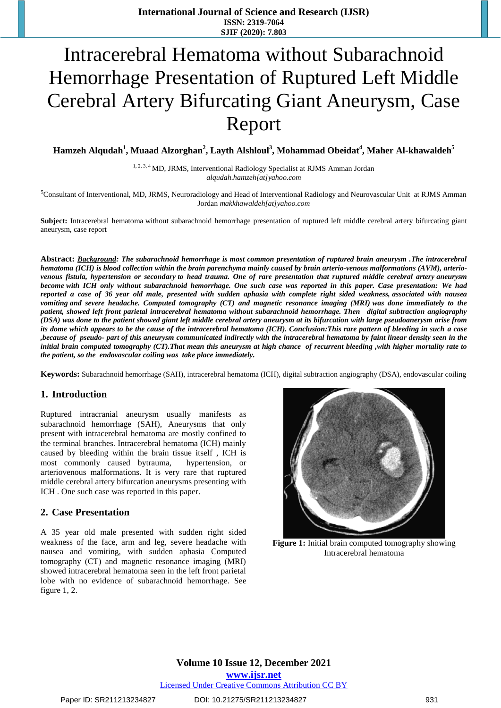# Intracerebral Hematoma without Subarachnoid Hemorrhage Presentation of Ruptured Left Middle Cerebral Artery Bifurcating Giant Aneurysm, Case Report

**Hamzeh Alqudah<sup>1</sup> , Muaad Alzorghan<sup>2</sup> , Layth Alshloul<sup>3</sup> , Mohammad Obeidat<sup>4</sup> , Maher Al-khawaldeh<sup>5</sup>**

<sup>1, 2, 3, 4</sup> MD, JRMS, Interventional Radiology Specialist at RJMS Amman Jordan *alqudah.hamzeh[at]yahoo.com*

<sup>5</sup>Consultant of Interventional, MD, JRMS, Neuroradiology and Head of Interventional Radiology and Neurovascular Unit at RJMS Amman Jordan *makkhawaldeh[at]yahoo.com*

**Subject:** Intracerebral hematoma without subarachnoid hemorrhage presentation of ruptured left middle cerebral artery bifurcating giant aneurysm, case report

**Abstract:** *Background: The subarachnoid hemorrhage is most common presentation of ruptured brain aneurysm .The intracerebral hematoma (ICH) is blood collection within the brain parenchyma mainly caused by brain arterio-venous malformations (AVM), arteriovenous fistula, hypertension or secondary to head trauma. One of rare presentation that ruptured middle cerebral artery aneurysm become with ICH only without subarachnoid hemorrhage. One such case was reported in this paper. Case presentation: We had reported a case of 36 year old male, presented with sudden aphasia with complete right sided weakness, associated with nausea vomiting and severe headache. Computed tomography (CT) and magnetic resonance imaging (MRI) was done immediately to the patient, showed left front parietal intracerebral hematoma without subarachnoid hemorrhage. Then digital subtraction angiography (DSA)* was done to the patient showed giant left middle cerebral artery aneurysm at its bifurcation with large pseudoanerysm arise from *its dome which appears to be the cause of the intracerebral hematoma (ICH). Conclusion:This rare pattern of bleeding in such a case ,because of pseudo- part of this aneurysm communicated indirectly with the intracerebral hematoma by faint linear density seen in the initial brain computed tomography (CT).That mean this aneurysm at high chance of recurrent bleeding ,with higher mortality rate to the patient, so the endovascular coiling was take place immediately.*

**Keywords:** Subarachnoid hemorrhage (SAH), intracerebral hematoma (ICH), digital subtraction angiography (DSA), endovascular coiling

#### **1. Introduction**

Ruptured intracranial aneurysm usually manifests as subarachnoid hemorrhage (SAH), Aneurysms that only present with intracerebral hematoma are mostly confined to the terminal branches. Intracerebral hematoma (ICH) mainly caused by bleeding within the brain tissue itself , ICH is most commonly caused bytrauma, hypertension, or arteriovenous malformations. It is very rare that ruptured middle cerebral artery bifurcation aneurysms presenting with ICH . One such case was reported in this paper.

#### **2. Case Presentation**

A 35 year old male presented with sudden right sided weakness of the face, arm and leg, severe headache with nausea and vomiting, with sudden aphasia Computed tomography (CT) and magnetic resonance imaging (MRI) showed intracerebral hematoma seen in the left front parietal lobe with no evidence of subarachnoid hemorrhage. See figure 1, 2.



**Figure 1:** Initial brain computed tomography showing Intracerebral hematoma

**Volume 10 Issue 12, December 2021 www.ijsr.net**

Licensed Under Creative Commons Attribution CC BY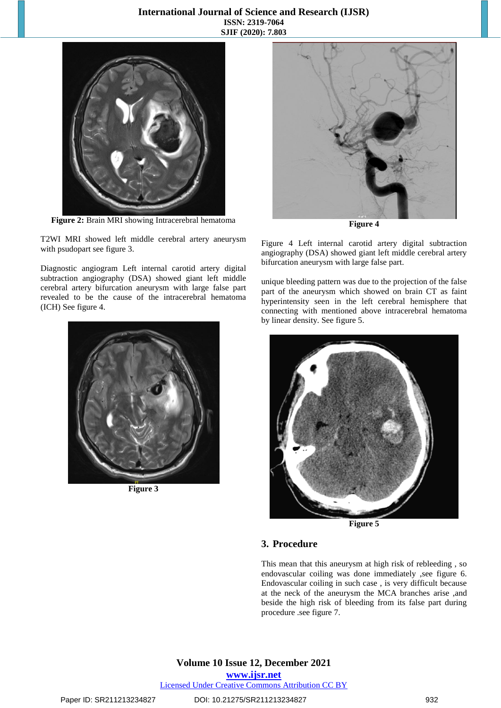#### **International Journal of Science and Research (IJSR) ISSN: 2319-7064 SJIF (2020): 7.803**



**Figure 2:** Brain MRI showing Intracerebral hematoma

T2WI MRI showed left middle cerebral artery aneurysm with psudopart see figure 3.

Diagnostic angiogram Left internal carotid artery digital subtraction angiography (DSA) showed giant left middle cerebral artery bifurcation aneurysm with large false part revealed to be the cause of the intracerebral hematoma (ICH) See figure 4.



**Figure 3**



**Figure 4**

Figure 4 Left internal carotid artery digital subtraction angiography (DSA) showed giant left middle cerebral artery bifurcation aneurysm with large false part.

unique bleeding pattern was due to the projection of the false part of the aneurysm which showed on brain CT as faint hyperintensity seen in the left cerebral hemisphere that connecting with mentioned above intracerebral hematoma by linear density. See figure 5.



**Figure 5**

#### **3. Procedure**

This mean that this aneurysm at high risk of rebleeding , so endovascular coiling was done immediately ,see figure 6. Endovascular coiling in such case , is very difficult because at the neck of the aneurysm the MCA branches arise ,and beside the high risk of bleeding from its false part during procedure .see figure 7.

**Volume 10 Issue 12, December 2021 www.ijsr.net**

Licensed Under Creative Commons Attribution CC BY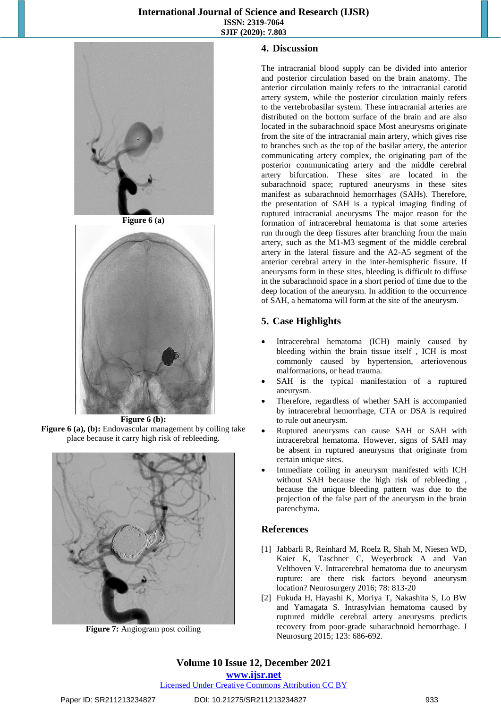#### **International Journal of Science and Research (IJSR) ISSN: 2319-7064 SJIF (2020): 7.803**



**Figure 6 (a)**



**Figure 6 (b): Figure 6 (a), (b):** Endovascular management by coiling take place because it carry high risk of rebleeding.



**Figure 7:** Angiogram post coiling

#### **4. Discussion**

The intracranial blood supply can be divided into anterior and posterior circulation based on the brain anatomy. The anterior circulation mainly refers to the intracranial carotid artery system, while the posterior circulation mainly refers to the vertebrobasilar system. These intracranial arteries are distributed on the bottom surface of the brain and are also located in the subarachnoid space Most aneurysms originate from the site of the intracranial main artery, which gives rise to branches such as the top of the basilar artery, the anterior communicating artery complex, the originating part of the posterior communicating artery and the middle cerebral artery bifurcation. These sites are located in the subarachnoid space; ruptured aneurysms in these sites manifest as subarachnoid hemorrhages (SAHs). Therefore, the presentation of SAH is a typical imaging finding of ruptured intracranial aneurysms The major reason for the formation of intracerebral hematoma is that some arteries run through the deep fissures after branching from the main artery, such as the M1-M3 segment of the middle cerebral artery in the lateral fissure and the A2-A5 segment of the anterior cerebral artery in the inter-hemispheric fissure. If aneurysms form in these sites, bleeding is difficult to diffuse in the subarachnoid space in a short period of time due to the deep location of the aneurysm. In addition to the occurrence of SAH, a hematoma will form at the site of the aneurysm.

# **5. Case Highlights**

- Intracerebral hematoma (ICH) mainly caused by bleeding within the brain tissue itself , ICH is most commonly caused by hypertension, arteriovenous malformations, or head trauma.
- SAH is the typical manifestation of a ruptured aneurysm.
- Therefore, regardless of whether SAH is accompanied by intracerebral hemorrhage, CTA or DSA is required to rule out aneurysm.
- Ruptured aneurysms can cause SAH or SAH with intracerebral hematoma. However, signs of SAH may be absent in ruptured aneurysms that originate from certain unique sites.
- Immediate coiling in aneurysm manifested with ICH without SAH because the high risk of rebleeding , because the unique bleeding pattern was due to the projection of the false part of the aneurysm in the brain parenchyma.

# **References**

- [1] Jabbarli R, Reinhard M, Roelz R, Shah M, Niesen WD, Kaier K, Taschner C, Weyerbrock A and Van Velthoven V. Intracerebral hematoma due to aneurysm rupture: are there risk factors beyond aneurysm location? Neurosurgery 2016; 78: 813-20
- [2] Fukuda H, Hayashi K, Moriya T, Nakashita S, Lo BW and Yamagata S. Intrasylvian hematoma caused by ruptured middle cerebral artery aneurysms predicts recovery from poor-grade subarachnoid hemorrhage. J Neurosurg 2015; 123: 686-692.

# **Volume 10 Issue 12, December 2021**

**www.ijsr.net**

Licensed Under Creative Commons Attribution CC BY

#### Paper ID: SR211213234827 DOI: 10.21275/SR211213234827 933